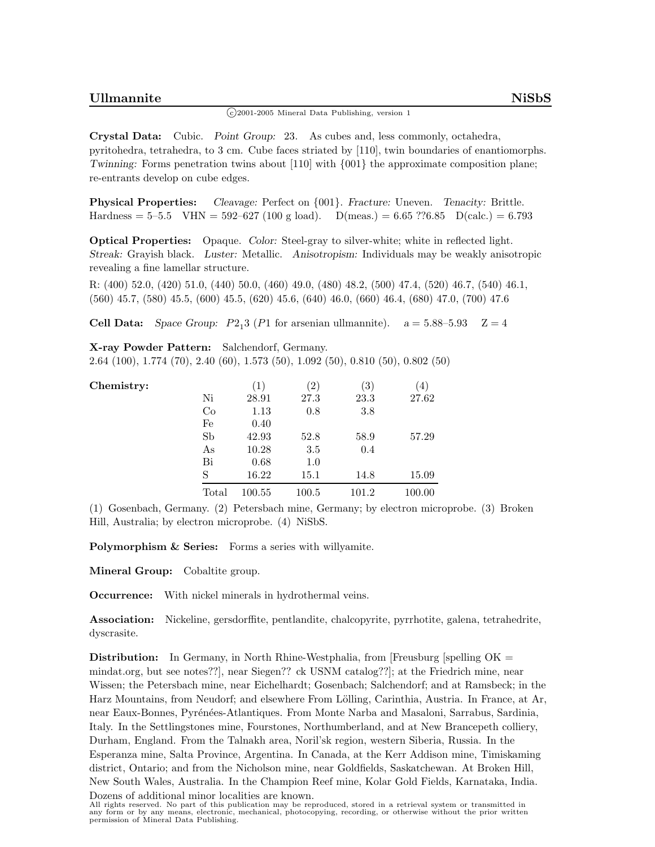## <sup>c</sup> 2001-2005 Mineral Data Publishing, version 1

**Crystal Data:** Cubic. *Point Group:* 23*.* As cubes and, less commonly, octahedra, pyritohedra, tetrahedra, to 3 cm. Cube faces striated by [110], twin boundaries of enantiomorphs. *Twinning:* Forms penetration twins about [110] with  $\{001\}$  the approximate composition plane; re-entrants develop on cube edges.

**Physical Properties:** *Cleavage:* Perfect on {001}. *Fracture:* Uneven. *Tenacity:* Brittle. Hardness =  $5-5.5$  VHN =  $592-627$  (100 g load). D(meas.) =  $6.65$  ?? $6.85$  D(calc.) =  $6.793$ 

**Optical Properties:** Opaque. *Color:* Steel-gray to silver-white; white in reflected light. *Streak:* Grayish black. *Luster:* Metallic. *Anisotropism:* Individuals may be weakly anisotropic revealing a fine lamellar structure.

R: (400) 52.0, (420) 51.0, (440) 50.0, (460) 49.0, (480) 48.2, (500) 47.4, (520) 46.7, (540) 46.1, (560) 45.7, (580) 45.5, (600) 45.5, (620) 45.6, (640) 46.0, (660) 46.4, (680) 47.0, (700) 47.6

**Cell Data:** *Space Group:*  $P2<sub>1</sub>3$  ( $P1$  for arsenian ullmannite).  $a = 5.88-5.93$  Z = 4

**X-ray Powder Pattern:** Salchendorf, Germany.

2.64 (100), 1.774 (70), 2.40 (60), 1.573 (50), 1.092 (50), 0.810 (50), 0.802 (50)

| Chemistry: |           | (1)    | $\left( 2\right)$ | $\left( 3\right)$ | '4,    |
|------------|-----------|--------|-------------------|-------------------|--------|
|            | Ni        | 28.91  | 27.3              | 23.3              | 27.62  |
|            | $\rm{Co}$ | 1.13   | 0.8               | 3.8               |        |
|            | Fe        | 0.40   |                   |                   |        |
|            | Sb        | 42.93  | 52.8              | 58.9              | 57.29  |
|            | As        | 10.28  | 3.5               | 0.4               |        |
|            | Bi        | 0.68   | 1.0               |                   |        |
|            | S         | 16.22  | 15.1              | 14.8              | 15.09  |
|            | Total     | 100.55 | 100.5             | 101.2             | 100.00 |

(1) Gosenbach, Germany. (2) Petersbach mine, Germany; by electron microprobe. (3) Broken Hill, Australia; by electron microprobe. (4) NiSbS*.*

**Polymorphism & Series:** Forms a series with willyamite.

**Mineral Group:** Cobaltite group.

**Occurrence:** With nickel minerals in hydrothermal veins.

**Association:** Nickeline, gersdorffite, pentlandite, chalcopyrite, pyrrhotite, galena, tetrahedrite, dyscrasite.

**Distribution:** In Germany, in North Rhine-Westphalia, from [Freusburg [spelling OK = mindat.org, but see notes??], near Siegen?? ck USNM catalog??]; at the Friedrich mine, near Wissen; the Petersbach mine, near Eichelhardt; Gosenbach; Salchendorf; and at Ramsbeck; in the Harz Mountains, from Neudorf; and elsewhere From Lölling, Carinthia, Austria. In France, at Ar, near Eaux-Bonnes, Pyrénées-Atlantiques. From Monte Narba and Masaloni, Sarrabus, Sardinia, Italy. In the Settlingstones mine, Fourstones, Northumberland, and at New Brancepeth colliery, Durham, England. From the Talnakh area, Noril'sk region, western Siberia, Russia. In the Esperanza mine, Salta Province, Argentina. In Canada, at the Kerr Addison mine, Timiskaming district, Ontario; and from the Nicholson mine, near Goldfields, Saskatchewan. At Broken Hill, New South Wales, Australia. In the Champion Reef mine, Kolar Gold Fields, Karnataka, India.

Dozens of additional minor localities are known. All rights reserved. No part of this publication may be reproduced, stored in a retrieval system or transmitted in any form or by any means, electronic, mechanical, photocopying, recording, or otherwise without the prior written permission of Mineral Data Publishing.